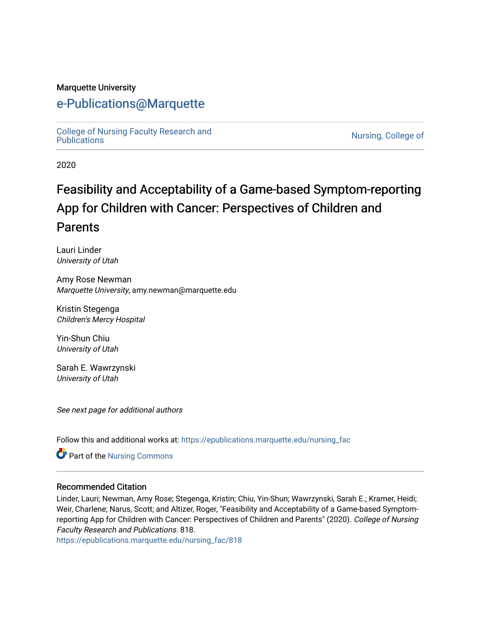#### Marquette University

## [e-Publications@Marquette](https://epublications.marquette.edu/)

[College of Nursing Faculty Research and](https://epublications.marquette.edu/nursing_fac)<br>Publications

Nursing, College of

2020

# Feasibility and Acceptability of a Game-based Symptom-reporting App for Children with Cancer: Perspectives of Children and **Parents**

Lauri Linder University of Utah

Amy Rose Newman Marquette University, amy.newman@marquette.edu

Kristin Stegenga Children's Mercy Hospital

Yin-Shun Chiu University of Utah

Sarah E. Wawrzynski University of Utah

See next page for additional authors

Follow this and additional works at: [https://epublications.marquette.edu/nursing\\_fac](https://epublications.marquette.edu/nursing_fac?utm_source=epublications.marquette.edu%2Fnursing_fac%2F818&utm_medium=PDF&utm_campaign=PDFCoverPages)

Part of the [Nursing Commons](http://network.bepress.com/hgg/discipline/718?utm_source=epublications.marquette.edu%2Fnursing_fac%2F818&utm_medium=PDF&utm_campaign=PDFCoverPages) 

#### Recommended Citation

Linder, Lauri; Newman, Amy Rose; Stegenga, Kristin; Chiu, Yin-Shun; Wawrzynski, Sarah E.; Kramer, Heidi; Weir, Charlene; Narus, Scott; and Altizer, Roger, "Feasibility and Acceptability of a Game-based Symptomreporting App for Children with Cancer: Perspectives of Children and Parents" (2020). College of Nursing Faculty Research and Publications. 818.

[https://epublications.marquette.edu/nursing\\_fac/818](https://epublications.marquette.edu/nursing_fac/818?utm_source=epublications.marquette.edu%2Fnursing_fac%2F818&utm_medium=PDF&utm_campaign=PDFCoverPages)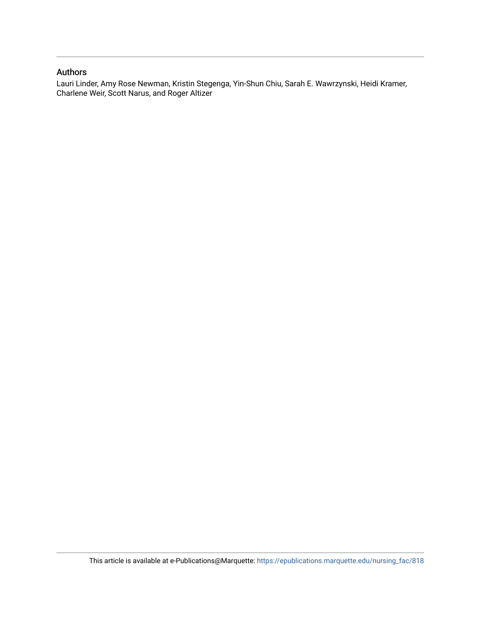#### Authors

Lauri Linder, Amy Rose Newman, Kristin Stegenga, Yin-Shun Chiu, Sarah E. Wawrzynski, Heidi Kramer, Charlene Weir, Scott Narus, and Roger Altizer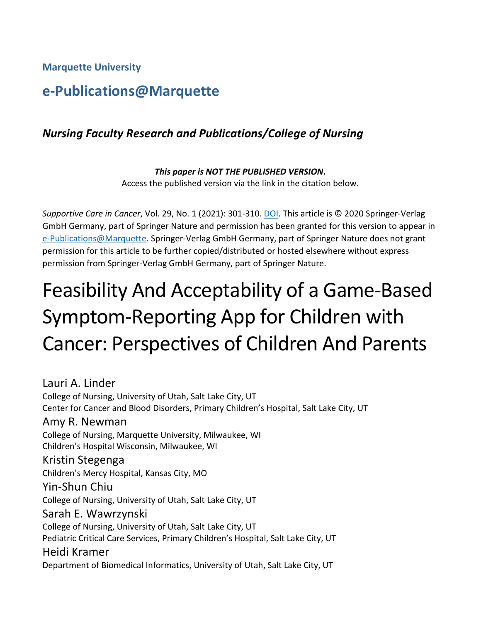**Marquette University**

## **e-Publications@Marquette**

## *Nursing Faculty Research and Publications/College of Nursing*

*This paper is NOT THE PUBLISHED VERSION***.**  Access the published version via the link in the citation below.

*Supportive Care in Cancer*, Vol. 29, No. 1 (2021): 301-310. [DOI.](https://doi.org/10.1007/s00520-020-05495-w) This article is © 2020 Springer-Verlag GmbH Germany, part of Springer Nature and permission has been granted for this version to appear in [e-Publications@Marquette.](http://epublications.marquette.edu/) Springer-Verlag GmbH Germany, part of Springer Nature does not grant permission for this article to be further copied/distributed or hosted elsewhere without express permission from Springer-Verlag GmbH Germany, part of Springer Nature.

# Feasibility And Acceptability of a Game-Based Symptom-Reporting App for Children with Cancer: Perspectives of Children And Parents

Lauri A. Linder College of Nursing, University of Utah, Salt Lake City, UT Center for Cancer and Blood Disorders, Primary Children's Hospital, Salt Lake City, UT Amy R. Newman College of Nursing, Marquette University, Milwaukee, WI Children's Hospital Wisconsin, Milwaukee, WI Kristin Stegenga Children's Mercy Hospital, Kansas City, MO Yin-Shun Chiu College of Nursing, University of Utah, Salt Lake City, UT Sarah E. Wawrzynski College of Nursing, University of Utah, Salt Lake City, UT Pediatric Critical Care Services, Primary Children's Hospital, Salt Lake City, UT Heidi Kramer Department of Biomedical Informatics, University of Utah, Salt Lake City, UT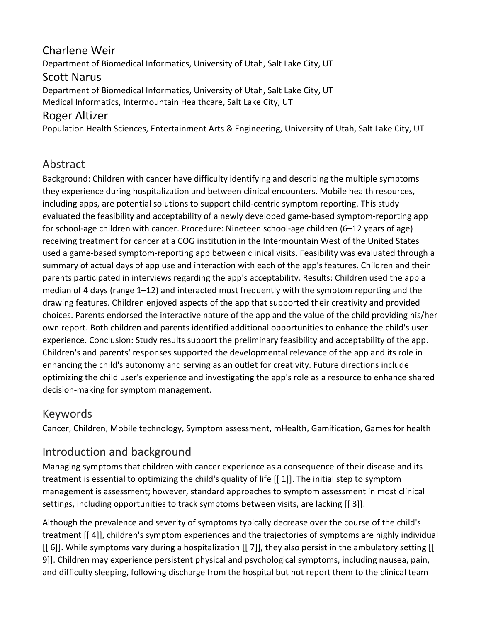## Charlene Weir

Department of Biomedical Informatics, University of Utah, Salt Lake City, UT

## Scott Narus

Department of Biomedical Informatics, University of Utah, Salt Lake City, UT Medical Informatics, Intermountain Healthcare, Salt Lake City, UT

## Roger Altizer

Population Health Sciences, Entertainment Arts & Engineering, University of Utah, Salt Lake City, UT

## Abstract

Background: Children with cancer have difficulty identifying and describing the multiple symptoms they experience during hospitalization and between clinical encounters. Mobile health resources, including apps, are potential solutions to support child-centric symptom reporting. This study evaluated the feasibility and acceptability of a newly developed game-based symptom-reporting app for school-age children with cancer. Procedure: Nineteen school-age children (6–12 years of age) receiving treatment for cancer at a COG institution in the Intermountain West of the United States used a game-based symptom-reporting app between clinical visits. Feasibility was evaluated through a summary of actual days of app use and interaction with each of the app's features. Children and their parents participated in interviews regarding the app's acceptability. Results: Children used the app a median of 4 days (range 1–12) and interacted most frequently with the symptom reporting and the drawing features. Children enjoyed aspects of the app that supported their creativity and provided choices. Parents endorsed the interactive nature of the app and the value of the child providing his/her own report. Both children and parents identified additional opportunities to enhance the child's user experience. Conclusion: Study results support the preliminary feasibility and acceptability of the app. Children's and parents' responses supported the developmental relevance of the app and its role in enhancing the child's autonomy and serving as an outlet for creativity. Future directions include optimizing the child user's experience and investigating the app's role as a resource to enhance shared decision-making for symptom management.

## Keywords

Cancer, Children, Mobile technology, Symptom assessment, mHealth, Gamification, Games for health

## Introduction and background

Managing symptoms that children with cancer experience as a consequence of their disease and its treatment is essential to optimizing the child's quality of life [[ 1]]. The initial step to symptom management is assessment; however, standard approaches to symptom assessment in most clinical settings, including opportunities to track symptoms between visits, are lacking [[ 3]].

Although the prevalence and severity of symptoms typically decrease over the course of the child's treatment [[ 4]], children's symptom experiences and the trajectories of symptoms are highly individual [[ 6]]. While symptoms vary during a hospitalization [[ 7]], they also persist in the ambulatory setting [[ 9]]. Children may experience persistent physical and psychological symptoms, including nausea, pain, and difficulty sleeping, following discharge from the hospital but not report them to the clinical team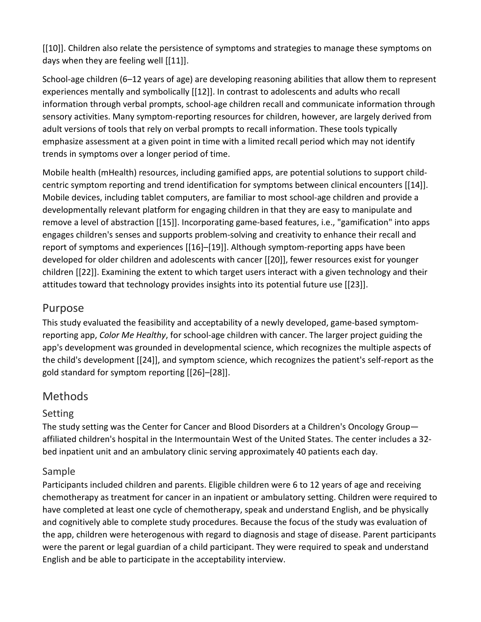[[10]]. Children also relate the persistence of symptoms and strategies to manage these symptoms on days when they are feeling well [[11]].

School-age children (6–12 years of age) are developing reasoning abilities that allow them to represent experiences mentally and symbolically [[12]]. In contrast to adolescents and adults who recall information through verbal prompts, school-age children recall and communicate information through sensory activities. Many symptom-reporting resources for children, however, are largely derived from adult versions of tools that rely on verbal prompts to recall information. These tools typically emphasize assessment at a given point in time with a limited recall period which may not identify trends in symptoms over a longer period of time.

Mobile health (mHealth) resources, including gamified apps, are potential solutions to support childcentric symptom reporting and trend identification for symptoms between clinical encounters [[14]]. Mobile devices, including tablet computers, are familiar to most school-age children and provide a developmentally relevant platform for engaging children in that they are easy to manipulate and remove a level of abstraction [[15]]. Incorporating game-based features, i.e., "gamification" into apps engages children's senses and supports problem-solving and creativity to enhance their recall and report of symptoms and experiences [[16]–[19]]. Although symptom-reporting apps have been developed for older children and adolescents with cancer [[20]], fewer resources exist for younger children [[22]]. Examining the extent to which target users interact with a given technology and their attitudes toward that technology provides insights into its potential future use [[23]].

## Purpose

This study evaluated the feasibility and acceptability of a newly developed, game-based symptomreporting app, *Color Me Healthy*, for school-age children with cancer. The larger project guiding the app's development was grounded in developmental science, which recognizes the multiple aspects of the child's development [[24]], and symptom science, which recognizes the patient's self-report as the gold standard for symptom reporting [[26]–[28]].

## Methods

#### Setting

The study setting was the Center for Cancer and Blood Disorders at a Children's Oncology Group affiliated children's hospital in the Intermountain West of the United States. The center includes a 32 bed inpatient unit and an ambulatory clinic serving approximately 40 patients each day.

#### Sample

Participants included children and parents. Eligible children were 6 to 12 years of age and receiving chemotherapy as treatment for cancer in an inpatient or ambulatory setting. Children were required to have completed at least one cycle of chemotherapy, speak and understand English, and be physically and cognitively able to complete study procedures. Because the focus of the study was evaluation of the app, children were heterogenous with regard to diagnosis and stage of disease. Parent participants were the parent or legal guardian of a child participant. They were required to speak and understand English and be able to participate in the acceptability interview.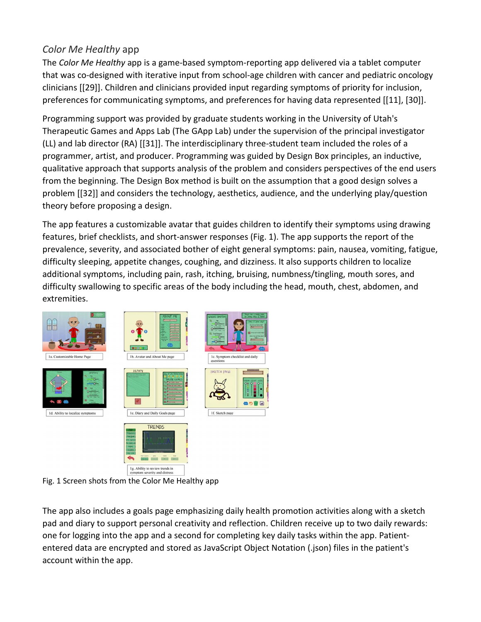## *Color Me Healthy* app

The *Color Me Healthy* app is a game-based symptom-reporting app delivered via a tablet computer that was co-designed with iterative input from school-age children with cancer and pediatric oncology clinicians [[29]]. Children and clinicians provided input regarding symptoms of priority for inclusion, preferences for communicating symptoms, and preferences for having data represented [[11], [30]].

Programming support was provided by graduate students working in the University of Utah's Therapeutic Games and Apps Lab (The GApp Lab) under the supervision of the principal investigator (LL) and lab director (RA) [[31]]. The interdisciplinary three-student team included the roles of a programmer, artist, and producer. Programming was guided by Design Box principles, an inductive, qualitative approach that supports analysis of the problem and considers perspectives of the end users from the beginning. The Design Box method is built on the assumption that a good design solves a problem [[32]] and considers the technology, aesthetics, audience, and the underlying play/question theory before proposing a design.

The app features a customizable avatar that guides children to identify their symptoms using drawing features, brief checklists, and short-answer responses (Fig. 1). The app supports the report of the prevalence, severity, and associated bother of eight general symptoms: pain, nausea, vomiting, fatigue, difficulty sleeping, appetite changes, coughing, and dizziness. It also supports children to localize additional symptoms, including pain, rash, itching, bruising, numbness/tingling, mouth sores, and difficulty swallowing to specific areas of the body including the head, mouth, chest, abdomen, and extremities.



Fig. 1 Screen shots from the Color Me Healthy app

The app also includes a goals page emphasizing daily health promotion activities along with a sketch pad and diary to support personal creativity and reflection. Children receive up to two daily rewards: one for logging into the app and a second for completing key daily tasks within the app. Patiententered data are encrypted and stored as JavaScript Object Notation (.json) files in the patient's account within the app.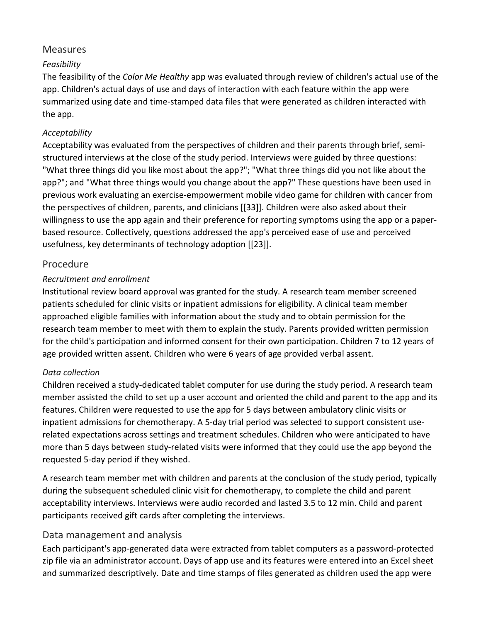#### **Measures**

#### *Feasibility*

The feasibility of the *Color Me Healthy* app was evaluated through review of children's actual use of the app. Children's actual days of use and days of interaction with each feature within the app were summarized using date and time-stamped data files that were generated as children interacted with the app.

#### *Acceptability*

Acceptability was evaluated from the perspectives of children and their parents through brief, semistructured interviews at the close of the study period. Interviews were guided by three questions: "What three things did you like most about the app?"; "What three things did you not like about the app?"; and "What three things would you change about the app?" These questions have been used in previous work evaluating an exercise-empowerment mobile video game for children with cancer from the perspectives of children, parents, and clinicians [[33]]. Children were also asked about their willingness to use the app again and their preference for reporting symptoms using the app or a paperbased resource. Collectively, questions addressed the app's perceived ease of use and perceived usefulness, key determinants of technology adoption [[23]].

#### Procedure

#### *Recruitment and enrollment*

Institutional review board approval was granted for the study. A research team member screened patients scheduled for clinic visits or inpatient admissions for eligibility. A clinical team member approached eligible families with information about the study and to obtain permission for the research team member to meet with them to explain the study. Parents provided written permission for the child's participation and informed consent for their own participation. Children 7 to 12 years of age provided written assent. Children who were 6 years of age provided verbal assent.

#### *Data collection*

Children received a study-dedicated tablet computer for use during the study period. A research team member assisted the child to set up a user account and oriented the child and parent to the app and its features. Children were requested to use the app for 5 days between ambulatory clinic visits or inpatient admissions for chemotherapy. A 5-day trial period was selected to support consistent userelated expectations across settings and treatment schedules. Children who were anticipated to have more than 5 days between study-related visits were informed that they could use the app beyond the requested 5-day period if they wished.

A research team member met with children and parents at the conclusion of the study period, typically during the subsequent scheduled clinic visit for chemotherapy, to complete the child and parent acceptability interviews. Interviews were audio recorded and lasted 3.5 to 12 min. Child and parent participants received gift cards after completing the interviews.

#### Data management and analysis

Each participant's app-generated data were extracted from tablet computers as a password-protected zip file via an administrator account. Days of app use and its features were entered into an Excel sheet and summarized descriptively. Date and time stamps of files generated as children used the app were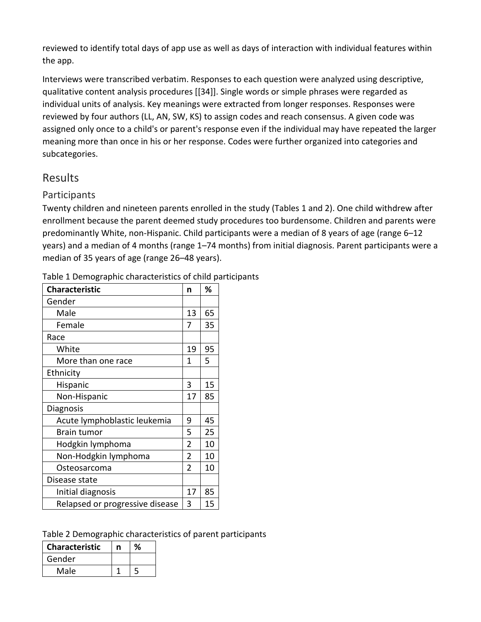reviewed to identify total days of app use as well as days of interaction with individual features within the app.

Interviews were transcribed verbatim. Responses to each question were analyzed using descriptive, qualitative content analysis procedures [[34]]. Single words or simple phrases were regarded as individual units of analysis. Key meanings were extracted from longer responses. Responses were reviewed by four authors (LL, AN, SW, KS) to assign codes and reach consensus. A given code was assigned only once to a child's or parent's response even if the individual may have repeated the larger meaning more than once in his or her response. Codes were further organized into categories and subcategories.

## Results

## **Participants**

Twenty children and nineteen parents enrolled in the study (Tables 1 and 2). One child withdrew after enrollment because the parent deemed study procedures too burdensome. Children and parents were predominantly White, non-Hispanic. Child participants were a median of 8 years of age (range 6–12 years) and a median of 4 months (range 1–74 months) from initial diagnosis. Parent participants were a median of 35 years of age (range 26–48 years).

| <b>Characteristic</b>           | n              | ℅  |
|---------------------------------|----------------|----|
| Gender                          |                |    |
| Male                            | 13             | 65 |
| Female                          | 7              | 35 |
| Race                            |                |    |
| White                           | 19             | 95 |
| More than one race              | 1              | 5  |
| Ethnicity                       |                |    |
| Hispanic                        | 3              | 15 |
| Non-Hispanic                    | 17             | 85 |
| Diagnosis                       |                |    |
| Acute lymphoblastic leukemia    | 9              | 45 |
| Brain tumor                     | 5              | 25 |
| Hodgkin lymphoma                | $\overline{2}$ | 10 |
| Non-Hodgkin lymphoma            | $\overline{2}$ | 10 |
| Osteosarcoma                    | $\overline{2}$ | 10 |
| Disease state                   |                |    |
| Initial diagnosis               | 17             | 85 |
| Relapsed or progressive disease | 3              | 15 |

Table 1 Demographic characteristics of child participants

#### Table 2 Demographic characteristics of parent participants

| <b>Characteristic</b> |  |
|-----------------------|--|
| Gender                |  |
| Male                  |  |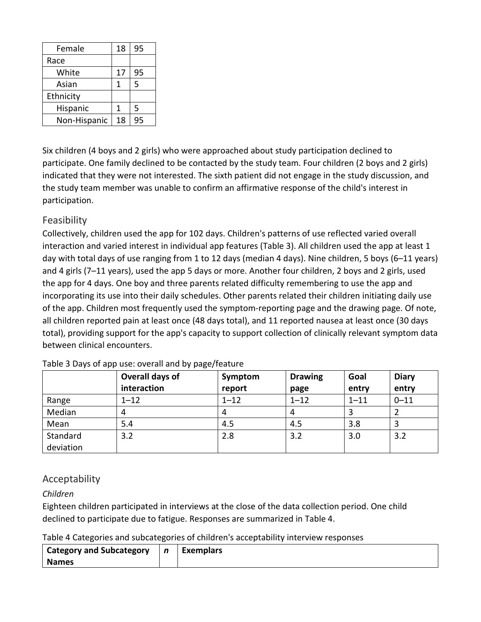| Female       | 18 | 95 |
|--------------|----|----|
| Race         |    |    |
| White        | 17 | 95 |
| Asian        | 1  | 5  |
| Ethnicity    |    |    |
| Hispanic     | 1  | 5  |
| Non-Hispanic | 18 | 95 |

Six children (4 boys and 2 girls) who were approached about study participation declined to participate. One family declined to be contacted by the study team. Four children (2 boys and 2 girls) indicated that they were not interested. The sixth patient did not engage in the study discussion, and the study team member was unable to confirm an affirmative response of the child's interest in participation.

#### Feasibility

Collectively, children used the app for 102 days. Children's patterns of use reflected varied overall interaction and varied interest in individual app features (Table 3). All children used the app at least 1 day with total days of use ranging from 1 to 12 days (median 4 days). Nine children, 5 boys (6–11 years) and 4 girls (7–11 years), used the app 5 days or more. Another four children, 2 boys and 2 girls, used the app for 4 days. One boy and three parents related difficulty remembering to use the app and incorporating its use into their daily schedules. Other parents related their children initiating daily use of the app. Children most frequently used the symptom-reporting page and the drawing page. Of note, all children reported pain at least once (48 days total), and 11 reported nausea at least once (30 days total), providing support for the app's capacity to support collection of clinically relevant symptom data between clinical encounters.

|           | Overall days of<br>interaction | Symptom<br>report | <b>Drawing</b><br>page | Goal<br>entry | <b>Diary</b><br>entry |
|-----------|--------------------------------|-------------------|------------------------|---------------|-----------------------|
| Range     | $1 - 12$                       | $1 - 12$          | $1 - 12$               | $1 - 11$      | $0 - 11$              |
| Median    | 4                              | 4                 | 4                      |               |                       |
| Mean      | 5.4                            | 4.5               | 4.5                    | 3.8           |                       |
| Standard  | 3.2                            | 2.8               | 3.2                    | 3.0           | 3.2                   |
| deviation |                                |                   |                        |               |                       |

Table 3 Days of app use: overall and by page/feature

#### Acceptability

#### *Children*

Eighteen children participated in interviews at the close of the data collection period. One child declined to participate due to fatigue. Responses are summarized in Table 4.

Table 4 Categories and subcategories of children's acceptability interview responses

| <b>Category and Subcategory</b> | $\mathbf n$ | Exemplars |  |
|---------------------------------|-------------|-----------|--|
| <b>Names</b>                    |             |           |  |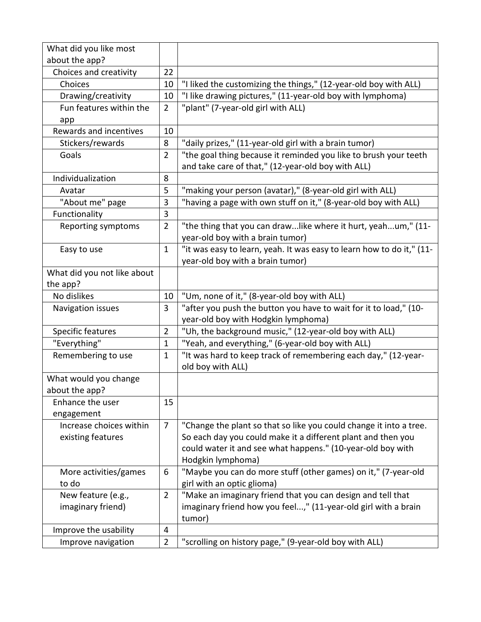| What did you like most<br>about the app? |                |                                                                                                                        |
|------------------------------------------|----------------|------------------------------------------------------------------------------------------------------------------------|
| Choices and creativity                   | 22             |                                                                                                                        |
| Choices                                  | 10             | "I liked the customizing the things," (12-year-old boy with ALL)                                                       |
| Drawing/creativity                       | 10             | "I like drawing pictures," (11-year-old boy with lymphoma)                                                             |
| Fun features within the                  | $\overline{2}$ | "plant" (7-year-old girl with ALL)                                                                                     |
| app                                      |                |                                                                                                                        |
| Rewards and incentives                   | 10             |                                                                                                                        |
| Stickers/rewards                         | 8              | "daily prizes," (11-year-old girl with a brain tumor)                                                                  |
| Goals                                    | $\overline{2}$ | "the goal thing because it reminded you like to brush your teeth<br>and take care of that," (12-year-old boy with ALL) |
| Individualization                        | 8              |                                                                                                                        |
| Avatar                                   | 5              | "making your person (avatar)," (8-year-old girl with ALL)                                                              |
| "About me" page                          | 3              | "having a page with own stuff on it," (8-year-old boy with ALL)                                                        |
| Functionality                            | 3              |                                                                                                                        |
| Reporting symptoms                       | $\overline{2}$ | "the thing that you can drawlike where it hurt, yeahum," (11-                                                          |
|                                          |                | year-old boy with a brain tumor)                                                                                       |
| Easy to use                              | $\mathbf 1$    | "it was easy to learn, yeah. It was easy to learn how to do it," (11-                                                  |
|                                          |                | year-old boy with a brain tumor)                                                                                       |
| What did you not like about              |                |                                                                                                                        |
| the app?                                 |                |                                                                                                                        |
| No dislikes                              | 10             | "Um, none of it," (8-year-old boy with ALL)                                                                            |
| Navigation issues                        | 3              | "after you push the button you have to wait for it to load," (10-                                                      |
|                                          |                | year-old boy with Hodgkin lymphoma)                                                                                    |
| Specific features                        | $\overline{2}$ | "Uh, the background music," (12-year-old boy with ALL)                                                                 |
| "Everything"                             | $\mathbf 1$    | "Yeah, and everything," (6-year-old boy with ALL)                                                                      |
| Remembering to use                       | $\mathbf 1$    | "It was hard to keep track of remembering each day," (12-year-                                                         |
|                                          |                | old boy with ALL)                                                                                                      |
| What would you change                    |                |                                                                                                                        |
| about the app?                           |                |                                                                                                                        |
| Enhance the user                         | 15             |                                                                                                                        |
| engagement                               |                |                                                                                                                        |
| Increase choices within                  | $\overline{7}$ | "Change the plant so that so like you could change it into a tree.                                                     |
| existing features                        |                | So each day you could make it a different plant and then you                                                           |
|                                          |                | could water it and see what happens." (10-year-old boy with                                                            |
|                                          |                | Hodgkin lymphoma)                                                                                                      |
| More activities/games                    | 6              | "Maybe you can do more stuff (other games) on it," (7-year-old                                                         |
| to do                                    |                | girl with an optic glioma)                                                                                             |
| New feature (e.g.,                       | $\overline{2}$ | "Make an imaginary friend that you can design and tell that                                                            |
| imaginary friend)                        |                | imaginary friend how you feel," (11-year-old girl with a brain                                                         |
|                                          |                | tumor)                                                                                                                 |
| Improve the usability                    | 4              |                                                                                                                        |
| Improve navigation                       | $\overline{2}$ | "scrolling on history page," (9-year-old boy with ALL)                                                                 |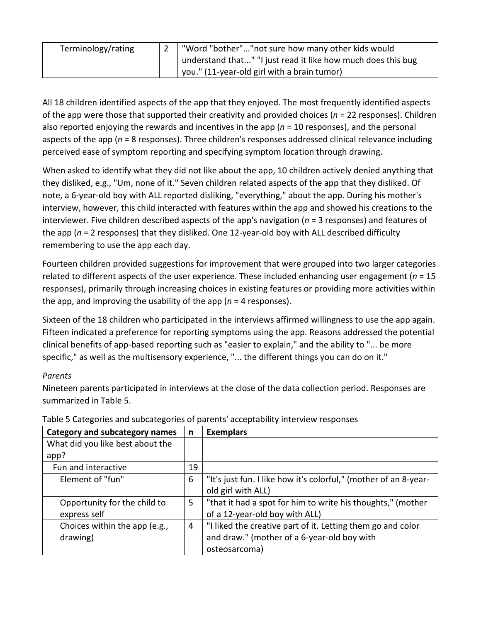| Terminology/rating | Word "bother""not sure how many other kids would             |
|--------------------|--------------------------------------------------------------|
|                    | understand that" "I just read it like how much does this bug |
|                    | you." (11-year-old girl with a brain tumor)                  |

All 18 children identified aspects of the app that they enjoyed. The most frequently identified aspects of the app were those that supported their creativity and provided choices (*n* = 22 responses). Children also reported enjoying the rewards and incentives in the app (*n* = 10 responses), and the personal aspects of the app (*n* = 8 responses). Three children's responses addressed clinical relevance including perceived ease of symptom reporting and specifying symptom location through drawing.

When asked to identify what they did not like about the app, 10 children actively denied anything that they disliked, e.g., "Um, none of it." Seven children related aspects of the app that they disliked. Of note, a 6-year-old boy with ALL reported disliking, "everything," about the app. During his mother's interview, however, this child interacted with features within the app and showed his creations to the interviewer. Five children described aspects of the app's navigation (*n* = 3 responses) and features of the app (*n* = 2 responses) that they disliked. One 12-year-old boy with ALL described difficulty remembering to use the app each day.

Fourteen children provided suggestions for improvement that were grouped into two larger categories related to different aspects of the user experience. These included enhancing user engagement (*n* = 15 responses), primarily through increasing choices in existing features or providing more activities within the app, and improving the usability of the app (*n* = 4 responses).

Sixteen of the 18 children who participated in the interviews affirmed willingness to use the app again. Fifteen indicated a preference for reporting symptoms using the app. Reasons addressed the potential clinical benefits of app-based reporting such as "easier to explain," and the ability to "... be more specific," as well as the multisensory experience, "... the different things you can do on it."

#### *Parents*

Nineteen parents participated in interviews at the close of the data collection period. Responses are summarized in Table 5.

| <b>Category and subcategory names</b> | n  | <b>Exemplars</b>                                                 |
|---------------------------------------|----|------------------------------------------------------------------|
| What did you like best about the      |    |                                                                  |
| app?                                  |    |                                                                  |
| Fun and interactive                   | 19 |                                                                  |
| Element of "fun"                      | 6  | "It's just fun. I like how it's colorful," (mother of an 8-year- |
|                                       |    | old girl with ALL)                                               |
| Opportunity for the child to          | 5  | "that it had a spot for him to write his thoughts," (mother      |
| express self                          |    | of a 12-year-old boy with ALL)                                   |
| Choices within the app (e.g.,         | 4  | "I liked the creative part of it. Letting them go and color      |
| drawing)                              |    | and draw." (mother of a 6-year-old boy with                      |
|                                       |    | osteosarcoma)                                                    |

Table 5 Categories and subcategories of parents' acceptability interview responses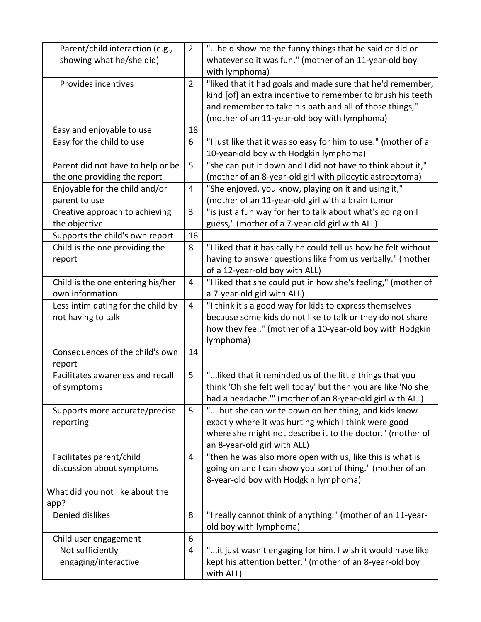| Parent/child interaction (e.g.,    | $\overline{2}$ | "he'd show me the funny things that he said or did or           |
|------------------------------------|----------------|-----------------------------------------------------------------|
| showing what he/she did)           |                | whatever so it was fun." (mother of an 11-year-old boy          |
|                                    |                | with lymphoma)                                                  |
| Provides incentives                | $\overline{2}$ | "liked that it had goals and made sure that he'd remember,      |
|                                    |                | kind [of] an extra incentive to remember to brush his teeth     |
|                                    |                | and remember to take his bath and all of those things,"         |
|                                    |                | (mother of an 11-year-old boy with lymphoma)                    |
| Easy and enjoyable to use          | 18             |                                                                 |
| Easy for the child to use          | 6              | "I just like that it was so easy for him to use." (mother of a  |
|                                    |                | 10-year-old boy with Hodgkin lymphoma)                          |
| Parent did not have to help or be  | 5              | "she can put it down and I did not have to think about it,"     |
| the one providing the report       |                | (mother of an 8-year-old girl with pilocytic astrocytoma)       |
| Enjoyable for the child and/or     | 4              | "She enjoyed, you know, playing on it and using it,"            |
| parent to use                      |                | (mother of an 11-year-old girl with a brain tumor               |
| Creative approach to achieving     | $\overline{3}$ | "is just a fun way for her to talk about what's going on I      |
| the objective                      |                | guess," (mother of a 7-year-old girl with ALL)                  |
| Supports the child's own report    | 16             |                                                                 |
| Child is the one providing the     | 8              | "I liked that it basically he could tell us how he felt without |
| report                             |                | having to answer questions like from us verbally." (mother      |
|                                    |                | of a 12-year-old boy with ALL)                                  |
| Child is the one entering his/her  | 4              | "I liked that she could put in how she's feeling," (mother of   |
| own information                    |                | a 7-year-old girl with ALL)                                     |
| Less intimidating for the child by | 4              | "I think it's a good way for kids to express themselves         |
| not having to talk                 |                | because some kids do not like to talk or they do not share      |
|                                    |                | how they feel." (mother of a 10-year-old boy with Hodgkin       |
|                                    |                | lymphoma)                                                       |
| Consequences of the child's own    | 14             |                                                                 |
| report                             |                |                                                                 |
| Facilitates awareness and recall   | 5              | " liked that it reminded us of the little things that you       |
| of symptoms                        |                | think 'Oh she felt well today' but then you are like 'No she    |
|                                    |                | had a headache."" (mother of an 8-year-old girl with ALL)       |
| Supports more accurate/precise     | 5              | " but she can write down on her thing, and kids know            |
| reporting                          |                | exactly where it was hurting which I think were good            |
|                                    |                | where she might not describe it to the doctor." (mother of      |
|                                    |                | an 8-year-old girl with ALL)                                    |
|                                    | 4              |                                                                 |
| Facilitates parent/child           |                | "then he was also more open with us, like this is what is       |
| discussion about symptoms          |                | going on and I can show you sort of thing." (mother of an       |
|                                    |                | 8-year-old boy with Hodgkin lymphoma)                           |
| What did you not like about the    |                |                                                                 |
| app?<br>Denied dislikes            |                |                                                                 |
|                                    | 8              | "I really cannot think of anything." (mother of an 11-year-     |
|                                    |                | old boy with lymphoma)                                          |
| Child user engagement              | 6              |                                                                 |
| Not sufficiently                   | 4              | "it just wasn't engaging for him. I wish it would have like     |
| engaging/interactive               |                | kept his attention better." (mother of an 8-year-old boy        |
|                                    |                | with ALL)                                                       |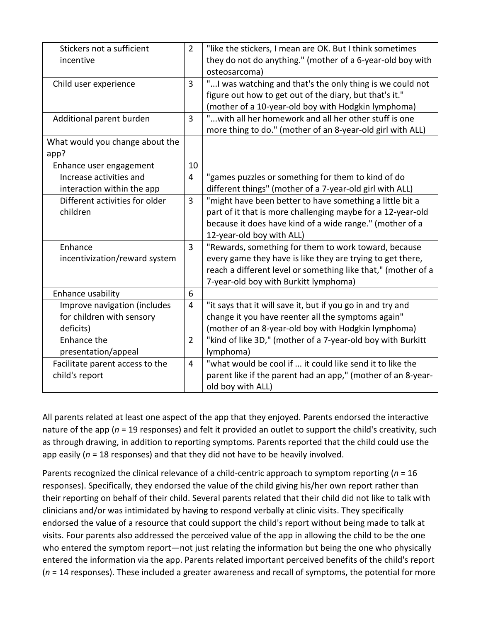| Stickers not a sufficient       | $\overline{2}$ | "like the stickers, I mean are OK. But I think sometimes      |
|---------------------------------|----------------|---------------------------------------------------------------|
| incentive                       |                | they do not do anything." (mother of a 6-year-old boy with    |
|                                 |                | osteosarcoma)                                                 |
| Child user experience           | $\overline{3}$ | " I was watching and that's the only thing is we could not    |
|                                 |                | figure out how to get out of the diary, but that's it."       |
|                                 |                | (mother of a 10-year-old boy with Hodgkin lymphoma)           |
| Additional parent burden        | 3              | " with all her homework and all her other stuff is one        |
|                                 |                | more thing to do." (mother of an 8-year-old girl with ALL)    |
| What would you change about the |                |                                                               |
| app?                            |                |                                                               |
| Enhance user engagement         | 10             |                                                               |
| Increase activities and         | $\overline{4}$ | "games puzzles or something for them to kind of do            |
| interaction within the app      |                | different things" (mother of a 7-year-old girl with ALL)      |
| Different activities for older  | 3              | "might have been better to have something a little bit a      |
| children                        |                | part of it that is more challenging maybe for a 12-year-old   |
|                                 |                | because it does have kind of a wide range." (mother of a      |
|                                 |                | 12-year-old boy with ALL)                                     |
| Enhance                         | $\overline{3}$ | "Rewards, something for them to work toward, because          |
| incentivization/reward system   |                | every game they have is like they are trying to get there,    |
|                                 |                | reach a different level or something like that," (mother of a |
|                                 |                | 7-year-old boy with Burkitt lymphoma)                         |
| Enhance usability               | 6              |                                                               |
| Improve navigation (includes    | 4              | "it says that it will save it, but if you go in and try and   |
| for children with sensory       |                | change it you have reenter all the symptoms again"            |
| deficits)                       |                | (mother of an 8-year-old boy with Hodgkin lymphoma)           |
| Enhance the                     | $\overline{2}$ | "kind of like 3D," (mother of a 7-year-old boy with Burkitt   |
| presentation/appeal             |                | lymphoma)                                                     |
| Facilitate parent access to the | $\overline{4}$ | "what would be cool if  it could like send it to like the     |
| child's report                  |                | parent like if the parent had an app," (mother of an 8-year-  |
|                                 |                | old boy with ALL)                                             |

All parents related at least one aspect of the app that they enjoyed. Parents endorsed the interactive nature of the app (*n* = 19 responses) and felt it provided an outlet to support the child's creativity, such as through drawing, in addition to reporting symptoms. Parents reported that the child could use the app easily (*n* = 18 responses) and that they did not have to be heavily involved.

Parents recognized the clinical relevance of a child-centric approach to symptom reporting (*n* = 16 responses). Specifically, they endorsed the value of the child giving his/her own report rather than their reporting on behalf of their child. Several parents related that their child did not like to talk with clinicians and/or was intimidated by having to respond verbally at clinic visits. They specifically endorsed the value of a resource that could support the child's report without being made to talk at visits. Four parents also addressed the perceived value of the app in allowing the child to be the one who entered the symptom report—not just relating the information but being the one who physically entered the information via the app. Parents related important perceived benefits of the child's report (*n* = 14 responses). These included a greater awareness and recall of symptoms, the potential for more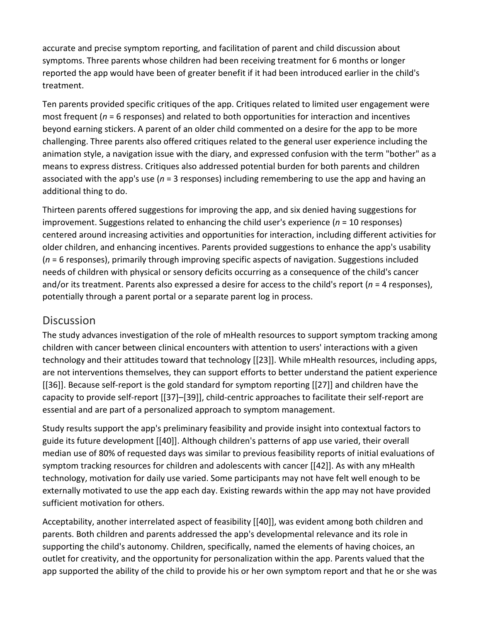accurate and precise symptom reporting, and facilitation of parent and child discussion about symptoms. Three parents whose children had been receiving treatment for 6 months or longer reported the app would have been of greater benefit if it had been introduced earlier in the child's treatment.

Ten parents provided specific critiques of the app. Critiques related to limited user engagement were most frequent (*n* = 6 responses) and related to both opportunities for interaction and incentives beyond earning stickers. A parent of an older child commented on a desire for the app to be more challenging. Three parents also offered critiques related to the general user experience including the animation style, a navigation issue with the diary, and expressed confusion with the term "bother" as a means to express distress. Critiques also addressed potential burden for both parents and children associated with the app's use (*n* = 3 responses) including remembering to use the app and having an additional thing to do.

Thirteen parents offered suggestions for improving the app, and six denied having suggestions for improvement. Suggestions related to enhancing the child user's experience (*n* = 10 responses) centered around increasing activities and opportunities for interaction, including different activities for older children, and enhancing incentives. Parents provided suggestions to enhance the app's usability (*n* = 6 responses), primarily through improving specific aspects of navigation. Suggestions included needs of children with physical or sensory deficits occurring as a consequence of the child's cancer and/or its treatment. Parents also expressed a desire for access to the child's report (*n* = 4 responses), potentially through a parent portal or a separate parent log in process.

## **Discussion**

The study advances investigation of the role of mHealth resources to support symptom tracking among children with cancer between clinical encounters with attention to users' interactions with a given technology and their attitudes toward that technology [[23]]. While mHealth resources, including apps, are not interventions themselves, they can support efforts to better understand the patient experience [[36]]. Because self-report is the gold standard for symptom reporting [[27]] and children have the capacity to provide self-report [[37]–[39]], child-centric approaches to facilitate their self-report are essential and are part of a personalized approach to symptom management.

Study results support the app's preliminary feasibility and provide insight into contextual factors to guide its future development [[40]]. Although children's patterns of app use varied, their overall median use of 80% of requested days was similar to previous feasibility reports of initial evaluations of symptom tracking resources for children and adolescents with cancer [[42]]. As with any mHealth technology, motivation for daily use varied. Some participants may not have felt well enough to be externally motivated to use the app each day. Existing rewards within the app may not have provided sufficient motivation for others.

Acceptability, another interrelated aspect of feasibility [[40]], was evident among both children and parents. Both children and parents addressed the app's developmental relevance and its role in supporting the child's autonomy. Children, specifically, named the elements of having choices, an outlet for creativity, and the opportunity for personalization within the app. Parents valued that the app supported the ability of the child to provide his or her own symptom report and that he or she was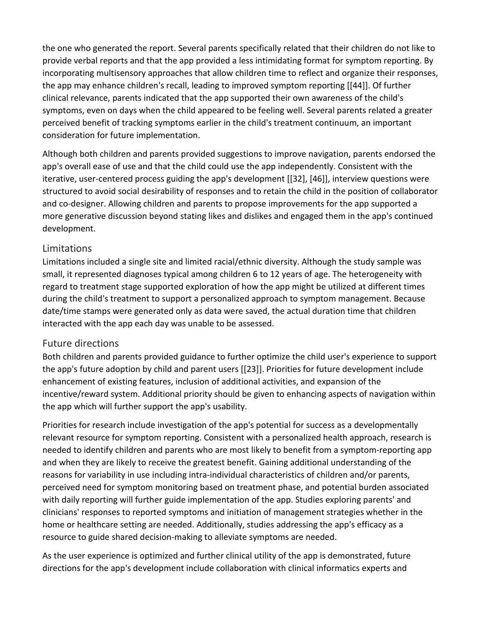the one who generated the report. Several parents specifically related that their children do not like to provide verbal reports and that the app provided a less intimidating format for symptom reporting. By incorporating multisensory approaches that allow children time to reflect and organize their responses, the app may enhance children's recall, leading to improved symptom reporting [[44]]. Of further clinical relevance, parents indicated that the app supported their own awareness of the child's symptoms, even on days when the child appeared to be feeling well. Several parents related a greater perceived benefit of tracking symptoms earlier in the child's treatment continuum, an important consideration for future implementation.

Although both children and parents provided suggestions to improve navigation, parents endorsed the app's overall ease of use and that the child could use the app independently. Consistent with the iterative, user-centered process guiding the app's development [[32], [46]], interview questions were structured to avoid social desirability of responses and to retain the child in the position of collaborator and co-designer. Allowing children and parents to propose improvements for the app supported a more generative discussion beyond stating likes and dislikes and engaged them in the app's continued development.

#### Limitations

Limitations included a single site and limited racial/ethnic diversity. Although the study sample was small, it represented diagnoses typical among children 6 to 12 years of age. The heterogeneity with regard to treatment stage supported exploration of how the app might be utilized at different times during the child's treatment to support a personalized approach to symptom management. Because date/time stamps were generated only as data were saved, the actual duration time that children interacted with the app each day was unable to be assessed.

#### Future directions

Both children and parents provided guidance to further optimize the child user's experience to support the app's future adoption by child and parent users [[23]]. Priorities for future development include enhancement of existing features, inclusion of additional activities, and expansion of the incentive/reward system. Additional priority should be given to enhancing aspects of navigation within the app which will further support the app's usability.

Priorities for research include investigation of the app's potential for success as a developmentally relevant resource for symptom reporting. Consistent with a personalized health approach, research is needed to identify children and parents who are most likely to benefit from a symptom-reporting app and when they are likely to receive the greatest benefit. Gaining additional understanding of the reasons for variability in use including intra-individual characteristics of children and/or parents, perceived need for symptom monitoring based on treatment phase, and potential burden associated with daily reporting will further guide implementation of the app. Studies exploring parents' and clinicians' responses to reported symptoms and initiation of management strategies whether in the home or healthcare setting are needed. Additionally, studies addressing the app's efficacy as a resource to guide shared decision-making to alleviate symptoms are needed.

As the user experience is optimized and further clinical utility of the app is demonstrated, future directions for the app's development include collaboration with clinical informatics experts and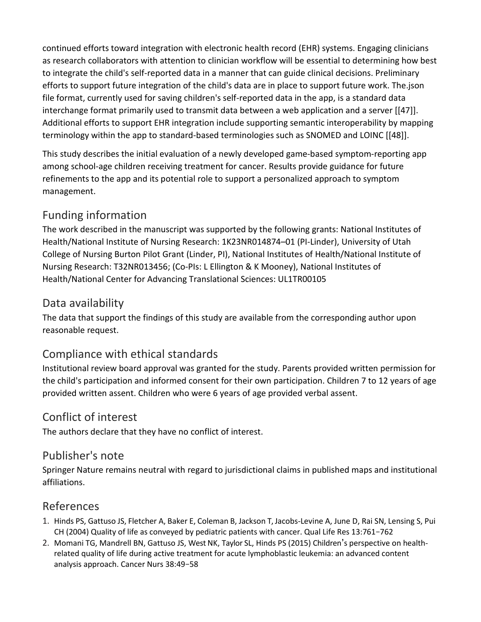continued efforts toward integration with electronic health record (EHR) systems. Engaging clinicians as research collaborators with attention to clinician workflow will be essential to determining how best to integrate the child's self-reported data in a manner that can guide clinical decisions. Preliminary efforts to support future integration of the child's data are in place to support future work. The.json file format, currently used for saving children's self-reported data in the app, is a standard data interchange format primarily used to transmit data between a web application and a server [[47]]. Additional efforts to support EHR integration include supporting semantic interoperability by mapping terminology within the app to standard-based terminologies such as SNOMED and LOINC [[48]].

This study describes the initial evaluation of a newly developed game-based symptom-reporting app among school-age children receiving treatment for cancer. Results provide guidance for future refinements to the app and its potential role to support a personalized approach to symptom management.

## Funding information

The work described in the manuscript was supported by the following grants: National Institutes of Health/National Institute of Nursing Research: 1K23NR014874–01 (PI-Linder), University of Utah College of Nursing Burton Pilot Grant (Linder, PI), National Institutes of Health/National Institute of Nursing Research: T32NR013456; (Co-PIs: L Ellington & K Mooney), National Institutes of Health/National Center for Advancing Translational Sciences: UL1TR00105

## Data availability

The data that support the findings of this study are available from the corresponding author upon reasonable request.

## Compliance with ethical standards

Institutional review board approval was granted for the study. Parents provided written permission for the child's participation and informed consent for their own participation. Children 7 to 12 years of age provided written assent. Children who were 6 years of age provided verbal assent.

## Conflict of interest

The authors declare that they have no conflict of interest.

## Publisher's note

Springer Nature remains neutral with regard to jurisdictional claims in published maps and institutional affiliations.

## [References](https://0-web-p-ebscohost-com.libus.csd.mu.edu/ehost/detail/detail?vid=4&sid=c4bb9bb3-65d7-4fe3-a0b5-fff5e0f2677e%40redis&bdata=JnNpdGU9ZWhvc3QtbGl2ZQ%3d%3d#toc)

- 1. Hinds PS, Gattuso JS, Fletcher A, Baker E, Coleman B, Jackson T, Jacobs-Levine A, June D, Rai SN, Lensing S, Pui CH (2004) Quality of life as conveyed by pediatric patients with cancer. Qual Life Res 13:761–762
- 2. Momani TG, Mandrell BN, Gattuso JS, West NK, Taylor SL, Hinds PS (2015) Children's perspective on healthrelated quality of life during active treatment for acute lymphoblastic leukemia: an advanced content analysis approach. Cancer Nurs 38:49–58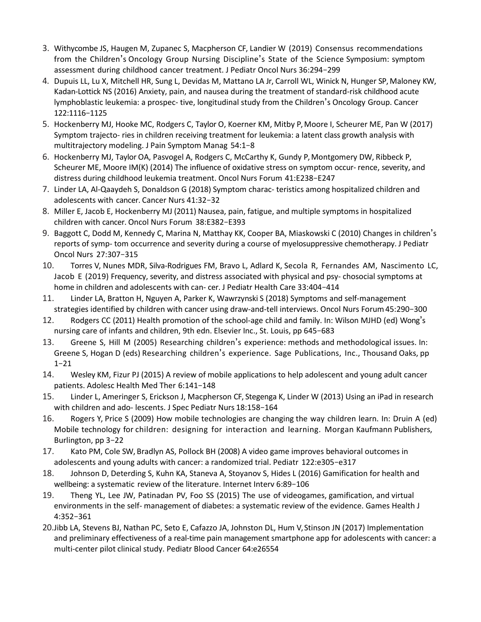- 3. Withycombe JS, Haugen M, Zupanec S, Macpherson CF, Landier W (2019) Consensus recommendations from the Children's Oncology Group Nursing Discipline's State of the Science Symposium: symptom assessment during childhood cancer treatment. J Pediatr Oncol Nurs 36:294–299
- 4. Dupuis LL, Lu X, Mitchell HR, Sung L, Devidas M, Mattano LA Jr, Carroll WL, Winick N, Hunger SP, Maloney KW, Kadan-Lottick NS (2016) Anxiety, pain, and nausea during the treatment of standard-risk childhood acute lymphoblastic leukemia: a prospec- tive, longitudinal study from the Children's Oncology Group. Cancer 122:1116–1125
- 5. Hockenberry MJ, Hooke MC, Rodgers C, Taylor O, Koerner KM, Mitby P, Moore I, Scheurer ME, Pan W (2017) Symptom trajecto- ries in children receiving treatment for leukemia: a latent class growth analysis with multitrajectory modeling. J Pain Symptom Manag 54:1–8
- 6. Hockenberry MJ, Taylor OA, Pasvogel A, Rodgers C, McCarthy K, Gundy P, Montgomery DW, Ribbeck P, Scheurer ME, Moore IM(K) (2014) The influence of oxidative stress on symptom occur- rence, severity, and distress during childhood leukemia treatment. Oncol Nurs Forum 41:E238–E247
- 7. Linder LA, Al-Qaaydeh S, Donaldson G (2018) Symptom charac- teristics among hospitalized children and adolescents with cancer. Cancer Nurs 41:32–32
- 8. Miller E, Jacob E, Hockenberry MJ (2011) Nausea, pain, fatigue, and multiple symptoms in hospitalized children with cancer. Oncol Nurs Forum 38:E382–E393
- 9. Baggott C, Dodd M, Kennedy C, Marina N, Matthay KK, Cooper BA, Miaskowski C (2010) Changes in children's reports of symp- tom occurrence and severity during a course of myelosuppressive chemotherapy. J Pediatr Oncol Nurs 27:307–315
- 10. Torres V, Nunes MDR, Silva-Rodrigues FM, Bravo L, Adlard K, Secola R, Fernandes AM, Nascimento LC, Jacob E (2019) Frequency, severity, and distress associated with physical and psy- chosocial symptoms at home in children and adolescents with can- cer. J Pediatr Health Care 33:404–414
- 11. Linder LA, Bratton H, Nguyen A, Parker K, Wawrzynski S (2018) Symptoms and self-management strategies identified by children with cancer using draw-and-tell interviews. Oncol Nurs Forum45:290–300
- 12. Rodgers CC (2011) Health promotion of the school-age child and family. In: Wilson MJHD (ed) Wong's nursing care of infants and children, 9th edn. Elsevier Inc., St. Louis, pp 645–683
- 13. Greene S, Hill M (2005) Researching children's experience: methods and methodological issues. In: Greene S, Hogan D (eds) Researching children's experience. Sage Publications, Inc., Thousand Oaks, pp 1–21
- 14. Wesley KM, Fizur PJ (2015) A review of mobile applications to help adolescent and young adult cancer patients. Adolesc Health Med Ther 6:141–148
- 15. Linder L, Ameringer S, Erickson J, Macpherson CF, Stegenga K, Linder W (2013) Using an iPad in research with children and ado- lescents. J Spec Pediatr Nurs 18:158–164
- 16. Rogers Y, Price S (2009) How mobile technologies are changing the way children learn. In: Druin A (ed) Mobile technology for children: designing for interaction and learning. Morgan Kaufmann Publishers, Burlington, pp 3–22
- 17. Kato PM, Cole SW, Bradlyn AS, Pollock BH (2008) A video game improves behavioral outcomes in adolescents and young adults with cancer: a randomized trial. Pediatr 122:e305–e317
- 18. Johnson D, Deterding S, Kuhn KA, Staneva A, Stoyanov S, Hides L (2016) Gamification for health and wellbeing: a systematic review of the literature. Internet Interv 6:89–106
- 19. Theng YL, Lee JW, Patinadan PV, Foo SS (2015) The use of videogames, gamification, and virtual environments in the self- management of diabetes: a systematic review of the evidence. Games Health J 4:352–361
- 20.Jibb LA, Stevens BJ, Nathan PC, Seto E, Cafazzo JA, Johnston DL, Hum V, Stinson JN (2017) Implementation and preliminary effectiveness of a real-time pain management smartphone app for adolescents with cancer: a multi-center pilot clinical study. Pediatr Blood Cancer 64:e26554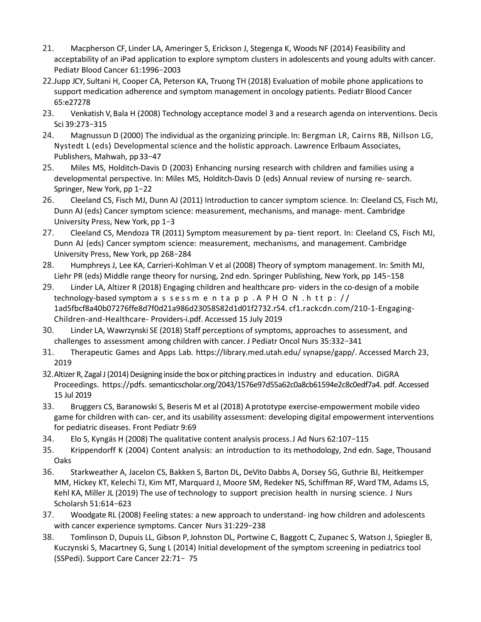- 21. Macpherson CF, Linder LA, Ameringer S, Erickson J, Stegenga K, Woods NF (2014) Feasibility and acceptability of an iPad application to explore symptom clusters in adolescents and young adults with cancer. Pediatr Blood Cancer 61:1996–2003
- 22.Jupp JCY, Sultani H, Cooper CA, Peterson KA, Truong TH (2018) Evaluation of mobile phone applications to support medication adherence and symptom management in oncology patients. Pediatr Blood Cancer 65:e27278
- 23. Venkatish V, Bala H (2008) Technology acceptance model 3 and a research agenda on interventions. Decis Sci 39:273–315
- 24. Magnussun D (2000) The individual as the organizing principle. In: Bergman LR, Cairns RB, Nillson LG, Nystedt L (eds) Developmental science and the holistic approach. Lawrence Erlbaum Associates, Publishers, Mahwah, pp33–47
- 25. Miles MS, Holditch-Davis D (2003) Enhancing nursing research with children and families using a developmental perspective. In: Miles MS, Holditch-Davis D (eds) Annual review of nursing re- search. Springer, New York, pp 1–22
- 26. Cleeland CS, Fisch MJ, Dunn AJ (2011) Introduction to cancer symptom science. In: Cleeland CS, Fisch MJ, Dunn AJ (eds) Cancer symptom science: measurement, mechanisms, and manage- ment. Cambridge University Press, New York, pp 1–3
- 27. Cleeland CS, Mendoza TR (2011) Symptom measurement by pa- tient report. In: Cleeland CS, Fisch MJ, Dunn AJ (eds) Cancer symptom science: measurement, mechanisms, and management. Cambridge University Press, New York, pp 268–284
- 28. Humphreys J, Lee KA, Carrieri-Kohlman V et al (2008) Theory of symptom management. In: Smith MJ, Liehr PR (eds) Middle range theory for nursing, 2nd edn. Springer Publishing, New York, pp 145–158
- 29. Linder LA, Altizer R (2018) Engaging children and healthcare pro- viders in the co-design of a mobile technology-based symptom a s sessmentapp. A PHON.http:// 1ad5fbcf8a40b07276ffe8d7f0d21a986d23058582d1d01f2732.r54. cf1.rackcdn.com/210-1-Engaging-Children-and-Healthcare- Providers-i.pdf. Accessed 15 July 2019
- 30. Linder LA, Wawrzynski SE (2018) Staff perceptions ofsymptoms, approaches to assessment, and challenges to assessment among children with cancer. J Pediatr Oncol Nurs 35:332–341
- 31. Therapeutic Games and Apps Lab. https://library.med.utah.edu/ synapse/gapp/. Accessed March 23, 2019
- 32. Altizer R, Zagal J (2014) Designing inside the box or pitching practices in industry and education. DiGRA Proceedings. https://pdfs. semanticscholar.org/2043/1576e97d55a62c0a8cb61594e2c8c0edf7a4. pdf. Accessed 15 Jul 2019
- 33. Bruggers CS, Baranowski S, Beseris M et al (2018) Aprototype exercise-empowerment mobile video game for children with can- cer, and its usability assessment: developing digital empowerment interventions for pediatric diseases. Front Pediatr 9:69
- 34. Elo S, Kyngäs H (2008) The qualitative content analysis process.J Ad Nurs 62:107–115
- 35. Krippendorff K (2004) Content analysis: an introduction to its methodology, 2nd edn. Sage, Thousand Oaks
- 36. Starkweather A, Jacelon CS, Bakken S, Barton DL, DeVito Dabbs A, Dorsey SG, Guthrie BJ, Heitkemper MM, Hickey KT, Kelechi TJ, Kim MT, Marquard J, Moore SM, Redeker NS, Schiffman RF, Ward TM, Adams LS, Kehl KA, Miller JL (2019) The use of technology to support precision health in nursing science. J Nurs Scholarsh 51:614–623
- 37. Woodgate RL (2008) Feeling states: a new approach to understand- ing how children and adolescents with cancer experience symptoms. Cancer Nurs 31:229–238
- 38. Tomlinson D, Dupuis LL, Gibson P, Johnston DL, Portwine C, Baggott C, Zupanec S, Watson J, Spiegler B, Kuczynski S, Macartney G, Sung L (2014) Initial development of the symptom screening in pediatrics tool (SSPedi). Support Care Cancer 22:71– 75